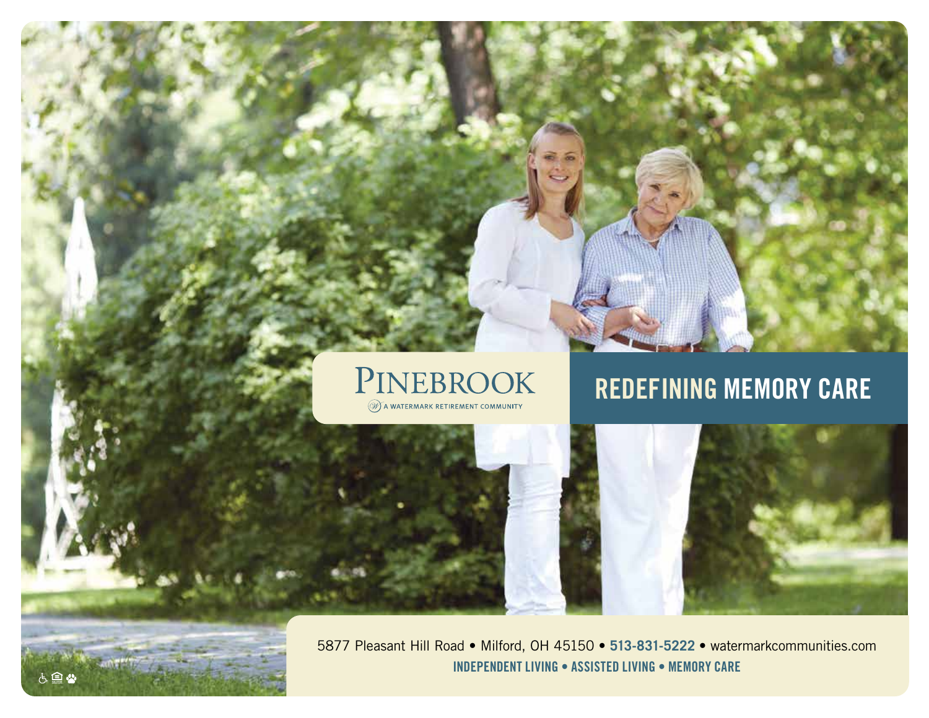

# **REDEFINING MEMORY CARE**



5877 Pleasant Hill Road • Milford, OH 45150 • **513-831-5222** • watermarkcommunities.com **INDEPENDENT LIVING • ASSISTED LIVING • MEMORY CARE**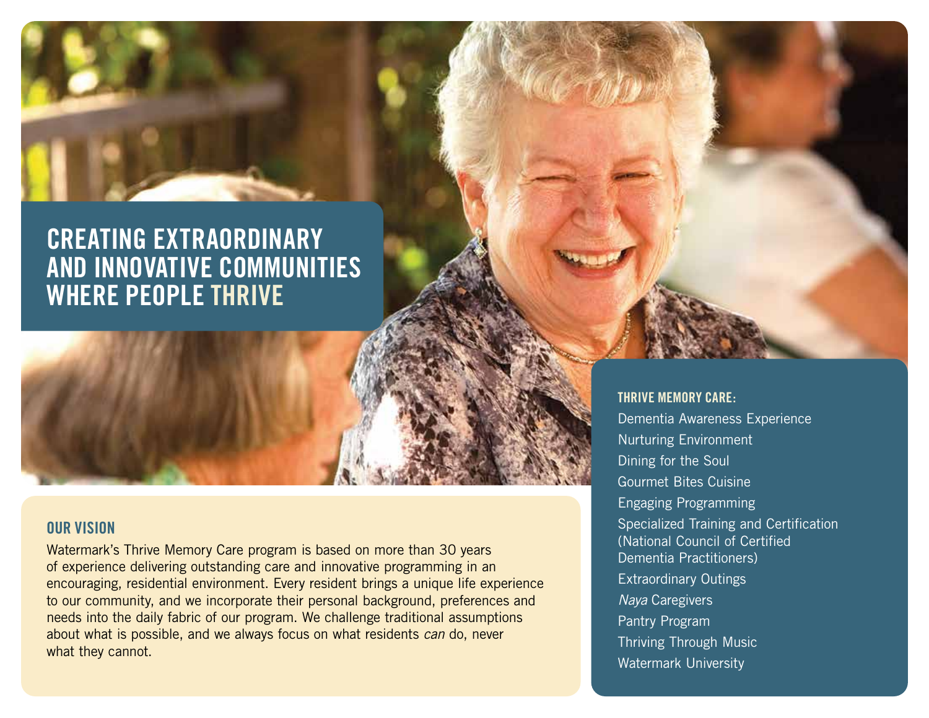## **CREATING EXTRAORDINARY AND INNOVATIVE COMMUNITIES WHERE PEOPLE THRIVE**

#### **OUR VISION**

Watermark's Thrive Memory Care program is based on more than 30 years of experience delivering outstanding care and innovative programming in an encouraging, residential environment. Every resident brings a unique life experience to our community, and we incorporate their personal background, preferences and needs into the daily fabric of our program. We challenge traditional assumptions about what is possible, and we always focus on what residents *can* do, never what they cannot.

#### **THRIVE MEMORY CARE:**

Dementia Awareness Experience Nurturing Environment Dining for the Soul Gourmet Bites Cuisine Engaging Programming Specialized Training and Certification (National Council of Certified Dementia Practitioners) Extraordinary Outings *Naya* Caregivers Pantry Program Thriving Through Music Watermark University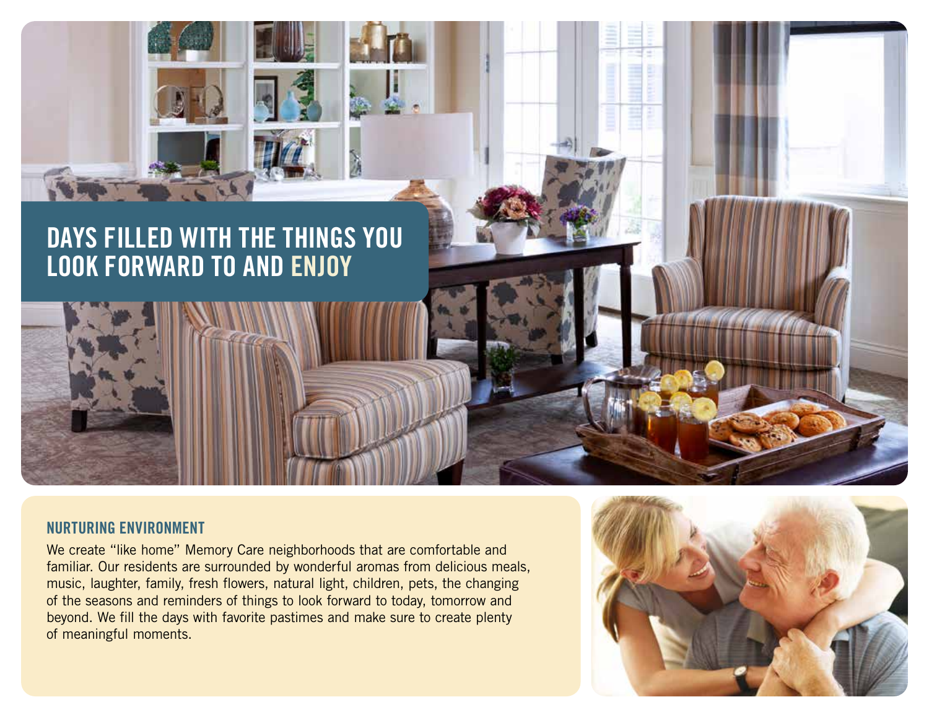

#### **NURTURING ENVIRONMENT**

We create "like home" Memory Care neighborhoods that are comfortable and familiar. Our residents are surrounded by wonderful aromas from delicious meals, music, laughter, family, fresh flowers, natural light, children, pets, the changing of the seasons and reminders of things to look forward to today, tomorrow and beyond. We fill the days with favorite pastimes and make sure to create plenty of meaningful moments.

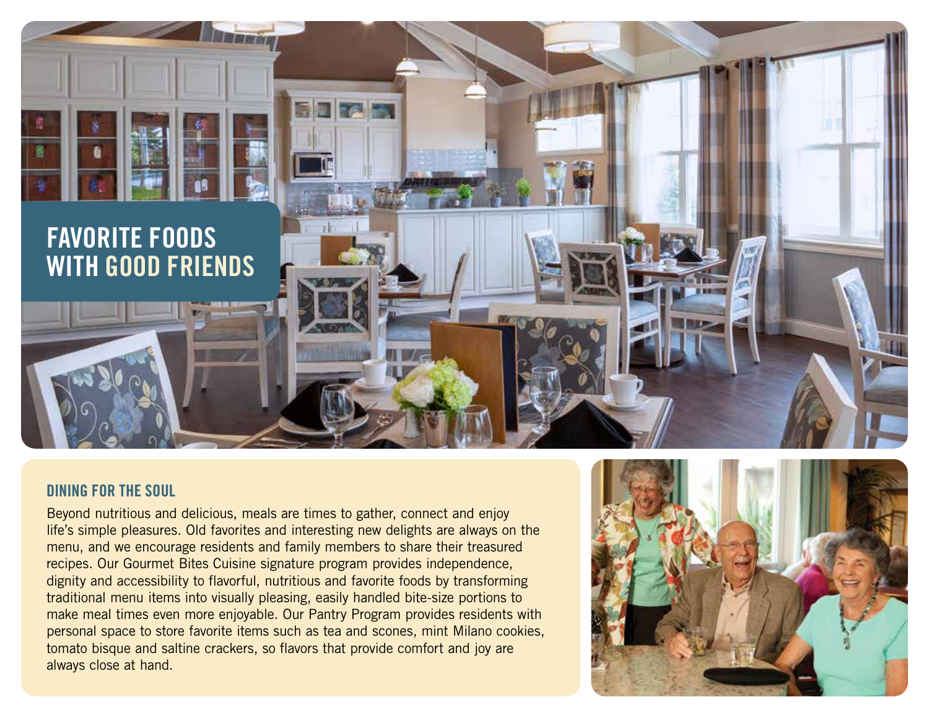

#### **DINING FOR THE SOUL**

Beyond nutritious and delicious, meals are times to gather, connect and enjoy life's simple pleasures. Old favorites and interesting new delights are always on the menu, and we encourage residents and family members to share their treasured recipes. Our Gourmet Bites Cuisine signature program provides independence, dignity and accessibility to flavorful, nutritious and favorite foods by transforming traditional menu items into visually pleasing, easily handled bite-size portions to make meal times even more enjoyable. Our Pantry Program provides residents with personal space to store favorite items such as tea and scones, mint Milano cookies, tomato bisque and saltine crackers, so flavors that provide comfort and joy are always close at hand.

![](_page_3_Picture_3.jpeg)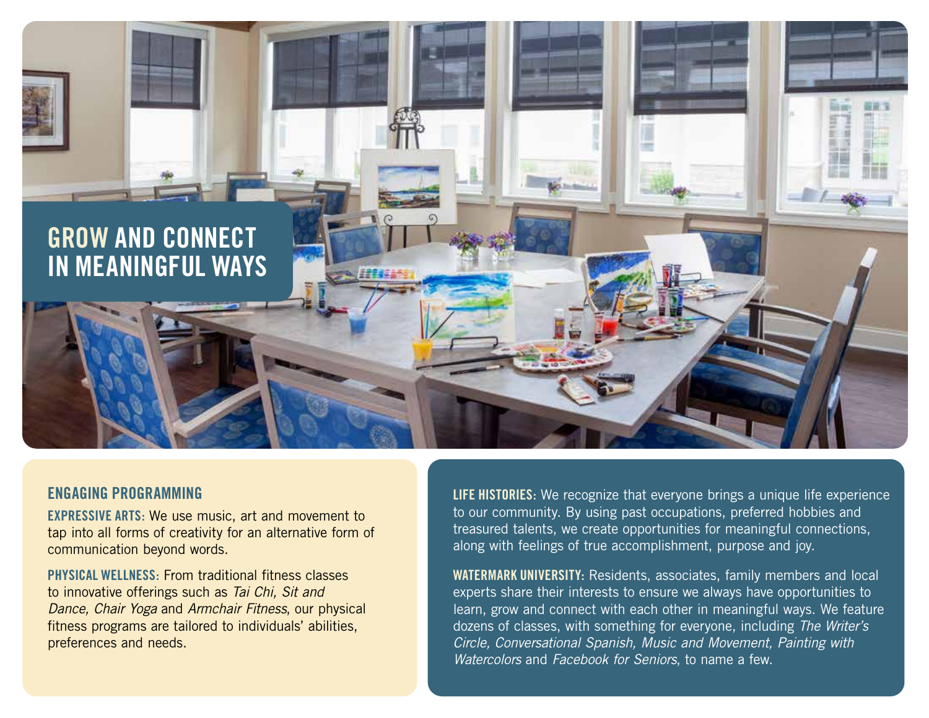![](_page_4_Picture_0.jpeg)

#### **ENGAGING PROGRAMMING**

**EXPRESSIVE ARTS:** We use music, art and movement to tap into all forms of creativity for an alternative form of communication beyond words.

**PHYSICAL WELLNESS:** From traditional fitness classes to innovative offerings such as *Tai Chi, Sit and Dance, Chair Yoga* and *Armchair Fitness*, our physical fitness programs are tailored to individuals' abilities, preferences and needs.

**LIFE HISTORIES:** We recognize that everyone brings a unique life experience to our community. By using past occupations, preferred hobbies and treasured talents, we create opportunities for meaningful connections, along with feelings of true accomplishment, purpose and joy.

**WATERMARK UNIVERSITY:** Residents, associates, family members and local experts share their interests to ensure we always have opportunities to learn, grow and connect with each other in meaningful ways. We feature dozens of classes, with something for everyone, including *The Writer's Circle, Conversational Spanish, Music and Movement, Painting with Watercolors* and *Facebook for Seniors*, to name a few.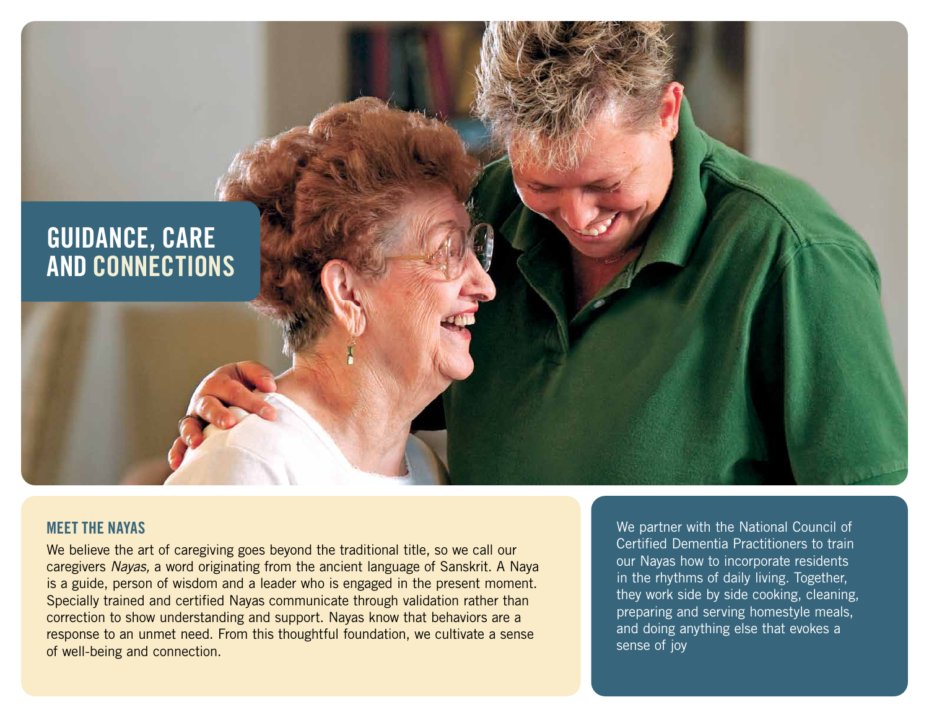![](_page_5_Picture_0.jpeg)

### **MEET THE NAYAS**

We believe the art of caregiving goes beyond the traditional title, so we call our caregivers *Nayas,* a word originating from the ancient language of Sanskrit. A Naya is a guide, person of wisdom and a leader who is engaged in the present moment. Specially trained and certified Nayas communicate through validation rather than correction to show understanding and support. Nayas know that behaviors are a response to an unmet need. From this thoughtful foundation, we cultivate a sense of well-being and connection.

We partner with the National Council of Certified Dementia Practitioners to train our Nayas how to incorporate residents in the rhythms of daily living. Together, they work side by side cooking, cleaning, preparing and serving homestyle meals, and doing anything else that evokes a sense of joy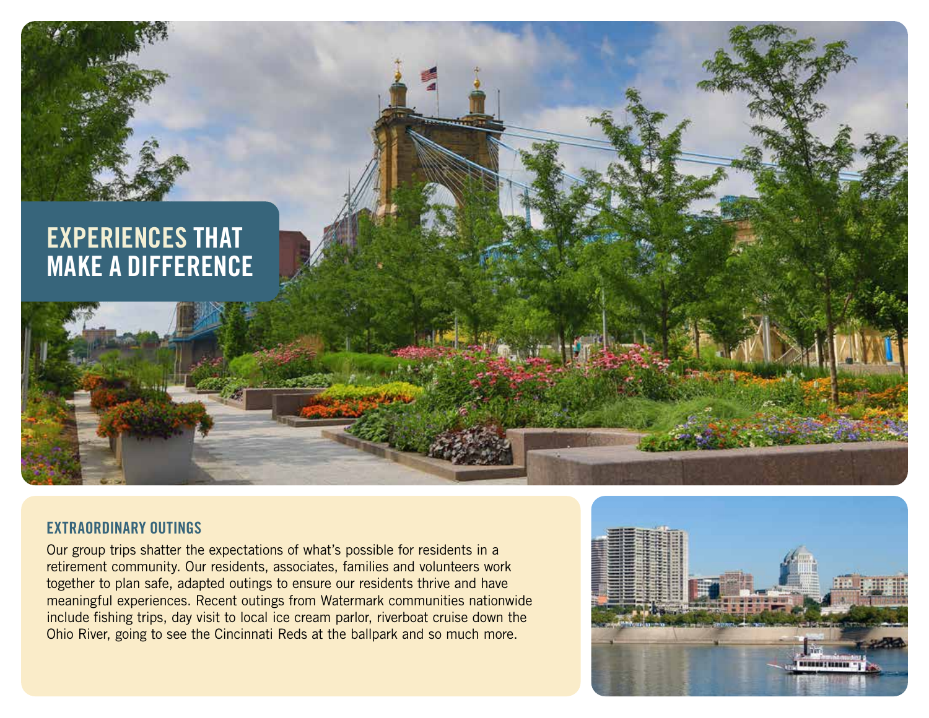![](_page_6_Picture_0.jpeg)

### **EXTRAORDINARY OUTINGS**

Our group trips shatter the expectations of what's possible for residents in a retirement community. Our residents, associates, families and volunteers work together to plan safe, adapted outings to ensure our residents thrive and have meaningful experiences. Recent outings from Watermark communities nationwide include fishing trips, day visit to local ice cream parlor, riverboat cruise down the Ohio River, going to see the Cincinnati Reds at the ballpark and so much more.

![](_page_6_Picture_3.jpeg)